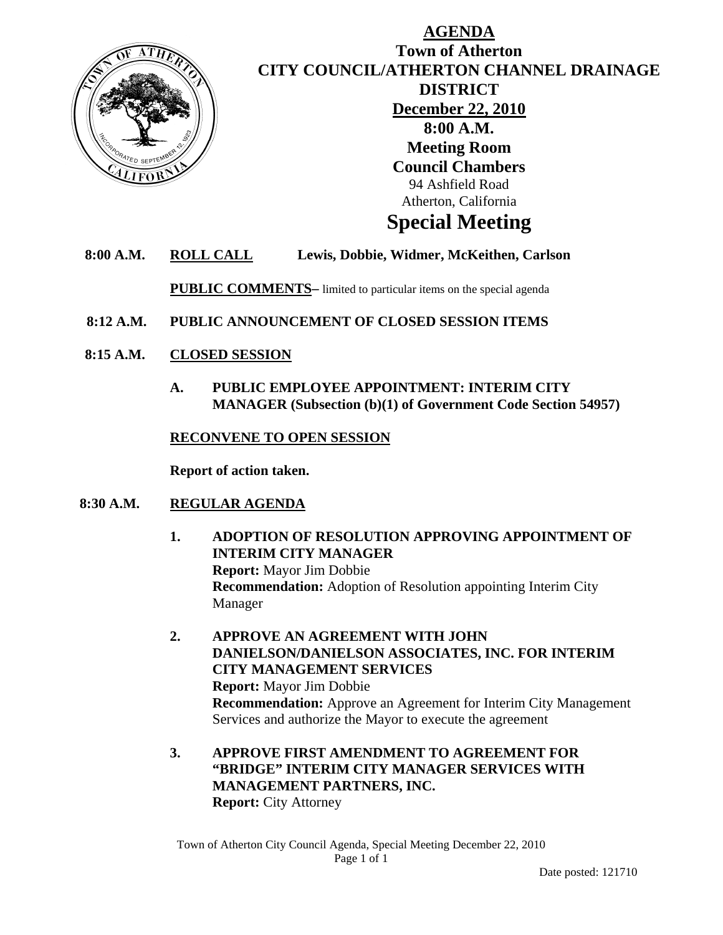

## **AGENDA Town of Atherton CITY COUNCIL/ATHERTON CHANNEL DRAINAGE DISTRICT December 22, 2010 8:00 A.M. Meeting Room Council Chambers**  94 Ashfield Road Atherton, California

# **Special Meeting**

## **8:00 A.M. ROLL CALL Lewis, Dobbie, Widmer, McKeithen, Carlson**

**PUBLIC COMMENTS–** limited to particular items on the special agenda

- **8:12 A.M. PUBLIC ANNOUNCEMENT OF CLOSED SESSION ITEMS**
- **8:15 A.M. CLOSED SESSION**
	- **A. PUBLIC EMPLOYEE APPOINTMENT: INTERIM CITY MANAGER (Subsection (b)(1) of Government Code Section 54957)**

#### **RECONVENE TO OPEN SESSION**

**Report of action taken.** 

## **8:30 A.M. REGULAR AGENDA**

- **1. ADOPTION OF RESOLUTION APPROVING APPOINTMENT OF INTERIM CITY MANAGER Report:** Mayor Jim Dobbie **Recommendation:** Adoption of Resolution appointing Interim City Manager
- **2. APPROVE AN AGREEMENT WITH JOHN DANIELSON/DANIELSON ASSOCIATES, INC. FOR INTERIM CITY MANAGEMENT SERVICES Report:** Mayor Jim Dobbie  **Recommendation:** Approve an Agreement for Interim City Management Services and authorize the Mayor to execute the agreement
- **3. APPROVE FIRST AMENDMENT TO AGREEMENT FOR "BRIDGE" INTERIM CITY MANAGER SERVICES WITH MANAGEMENT PARTNERS, INC. Report:** City Attorney

Town of Atherton City Council Agenda, Special Meeting December 22, 2010 Page 1 of 1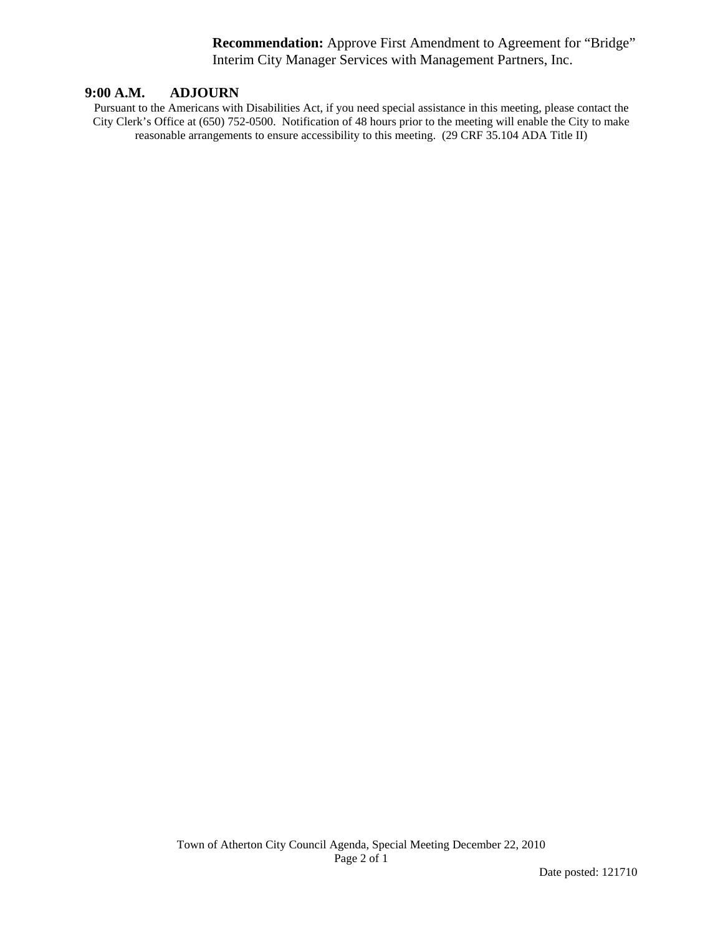**Recommendation:** Approve First Amendment to Agreement for "Bridge" Interim City Manager Services with Management Partners, Inc.

#### **9:00 A.M. ADJOURN**

Pursuant to the Americans with Disabilities Act, if you need special assistance in this meeting, please contact the City Clerk's Office at (650) 752-0500. Notification of 48 hours prior to the meeting will enable the City to make reasonable arrangements to ensure accessibility to this meeting. (29 CRF 35.104 ADA Title II)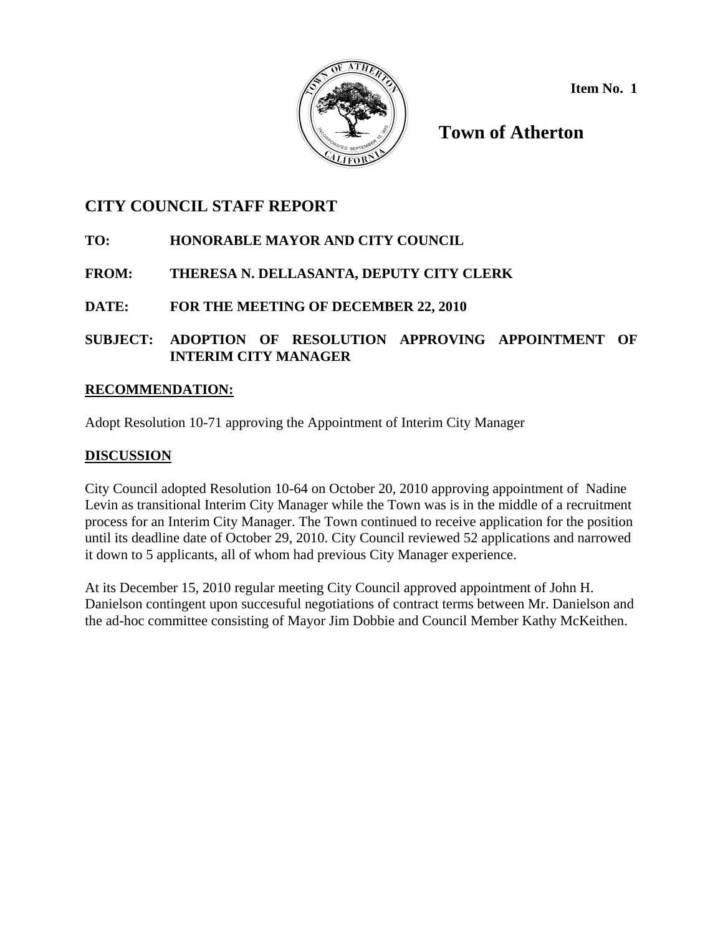

**Item No. 1** 

**Town of Atherton** 

## **CITY COUNCIL STAFF REPORT**

- **TO: HONORABLE MAYOR AND CITY COUNCIL**
- **FROM: THERESA N. DELLASANTA, DEPUTY CITY CLERK**
- **DATE: FOR THE MEETING OF DECEMBER 22, 2010**
- **SUBJECT: ADOPTION OF RESOLUTION APPROVING APPOINTMENT OF INTERIM CITY MANAGER**

## **RECOMMENDATION:**

Adopt Resolution 10-71 approving the Appointment of Interim City Manager

## **DISCUSSION**

City Council adopted Resolution 10-64 on October 20, 2010 approving appointment of Nadine Levin as transitional Interim City Manager while the Town was is in the middle of a recruitment process for an Interim City Manager. The Town continued to receive application for the position until its deadline date of October 29, 2010. City Council reviewed 52 applications and narrowed it down to 5 applicants, all of whom had previous City Manager experience.

At its December 15, 2010 regular meeting City Council approved appointment of John H. Danielson contingent upon succesuful negotiations of contract terms between Mr. Danielson and the ad-hoc committee consisting of Mayor Jim Dobbie and Council Member Kathy McKeithen.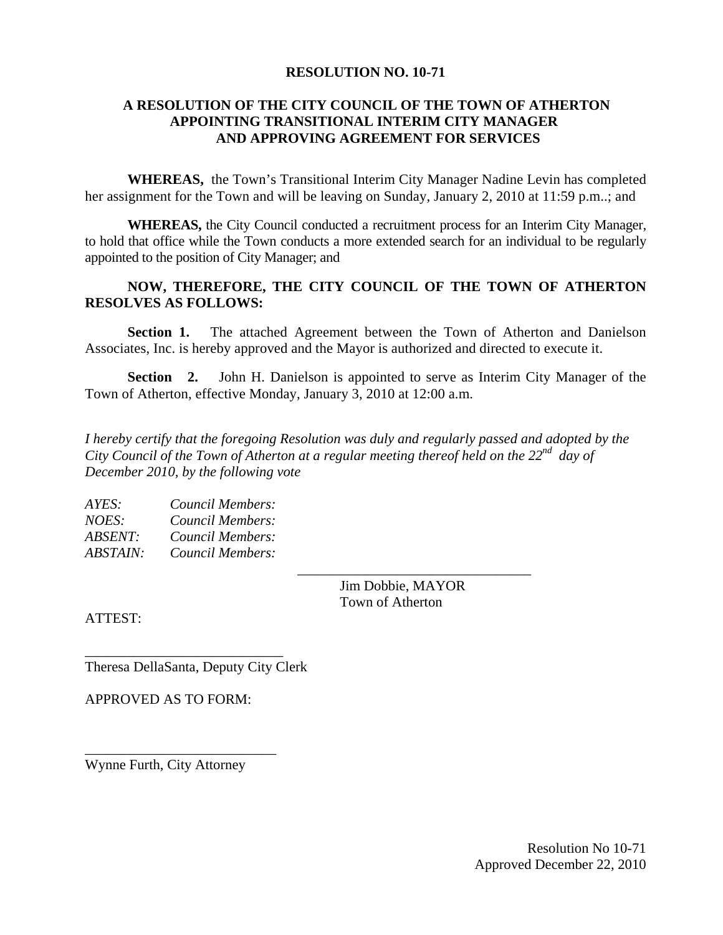#### **RESOLUTION NO. 10-71**

### **A RESOLUTION OF THE CITY COUNCIL OF THE TOWN OF ATHERTON APPOINTING TRANSITIONAL INTERIM CITY MANAGER AND APPROVING AGREEMENT FOR SERVICES**

**WHEREAS,** the Town's Transitional Interim City Manager Nadine Levin has completed her assignment for the Town and will be leaving on Sunday, January 2, 2010 at 11:59 p.m..; and

**WHEREAS,** the City Council conducted a recruitment process for an Interim City Manager, to hold that office while the Town conducts a more extended search for an individual to be regularly appointed to the position of City Manager; and

### **NOW, THEREFORE, THE CITY COUNCIL OF THE TOWN OF ATHERTON RESOLVES AS FOLLOWS:**

**Section 1.** The attached Agreement between the Town of Atherton and Danielson Associates, Inc. is hereby approved and the Mayor is authorized and directed to execute it.

**Section 2.** John H. Danielson is appointed to serve as Interim City Manager of the Town of Atherton, effective Monday, January 3, 2010 at 12:00 a.m.

*I hereby certify that the foregoing Resolution was duly and regularly passed and adopted by the City Council of the Town of Atherton at a regular meeting thereof held on the 22nd day of December 2010, by the following vote* 

 $\overline{\phantom{a}}$  , and the contract of the contract of the contract of the contract of the contract of the contract of the contract of the contract of the contract of the contract of the contract of the contract of the contrac

| AYES:           | Council Members: |
|-----------------|------------------|
| <i>NOES:</i>    | Council Members: |
| <i>ABSENT:</i>  | Council Members: |
| <b>ABSTAIN:</b> | Council Members: |

 Jim Dobbie, MAYOR Town of Atherton

ATTEST:

Theresa DellaSanta, Deputy City Clerk

\_\_\_\_\_\_\_\_\_\_\_\_\_\_\_\_\_\_\_\_\_\_\_\_\_\_\_\_

APPROVED AS TO FORM:

Wynne Furth, City Attorney

\_\_\_\_\_\_\_\_\_\_\_\_\_\_\_\_\_\_\_\_\_\_\_\_\_\_\_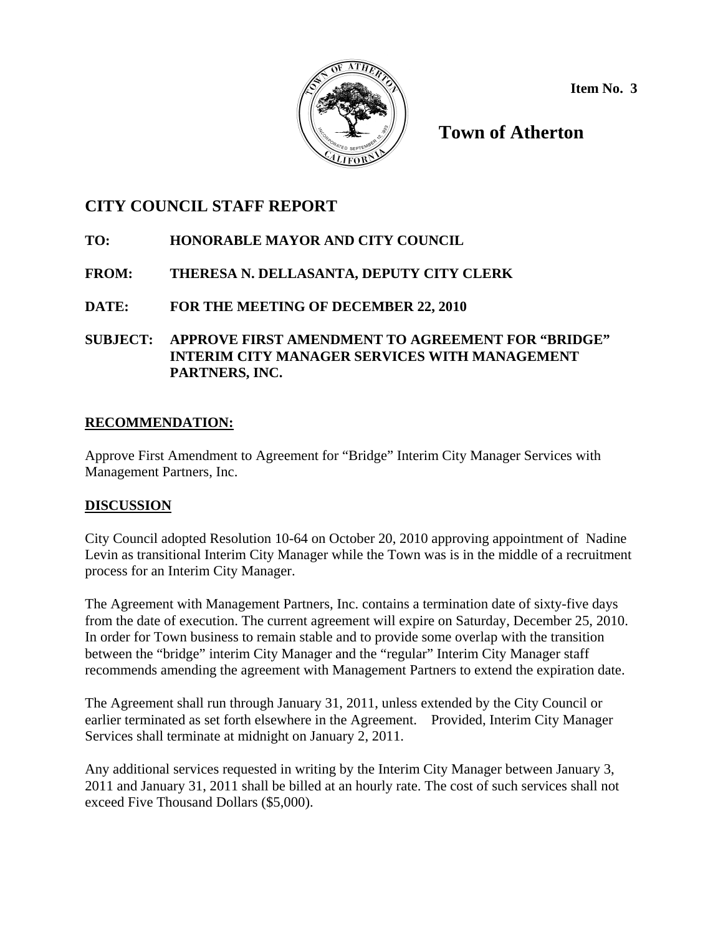

**Item No. 3** 

**Town of Atherton** 

## **CITY COUNCIL STAFF REPORT**

- **TO: HONORABLE MAYOR AND CITY COUNCIL**
- **FROM: THERESA N. DELLASANTA, DEPUTY CITY CLERK**
- **DATE: FOR THE MEETING OF DECEMBER 22, 2010**
- **SUBJECT: APPROVE FIRST AMENDMENT TO AGREEMENT FOR "BRIDGE" INTERIM CITY MANAGER SERVICES WITH MANAGEMENT PARTNERS, INC.**

## **RECOMMENDATION:**

Approve First Amendment to Agreement for "Bridge" Interim City Manager Services with Management Partners, Inc.

## **DISCUSSION**

City Council adopted Resolution 10-64 on October 20, 2010 approving appointment of Nadine Levin as transitional Interim City Manager while the Town was is in the middle of a recruitment process for an Interim City Manager.

The Agreement with Management Partners, Inc. contains a termination date of sixty-five days from the date of execution. The current agreement will expire on Saturday, December 25, 2010. In order for Town business to remain stable and to provide some overlap with the transition between the "bridge" interim City Manager and the "regular" Interim City Manager staff recommends amending the agreement with Management Partners to extend the expiration date.

The Agreement shall run through January 31, 2011, unless extended by the City Council or earlier terminated as set forth elsewhere in the Agreement. Provided, Interim City Manager Services shall terminate at midnight on January 2, 2011.

Any additional services requested in writing by the Interim City Manager between January 3, 2011 and January 31, 2011 shall be billed at an hourly rate. The cost of such services shall not exceed Five Thousand Dollars (\$5,000).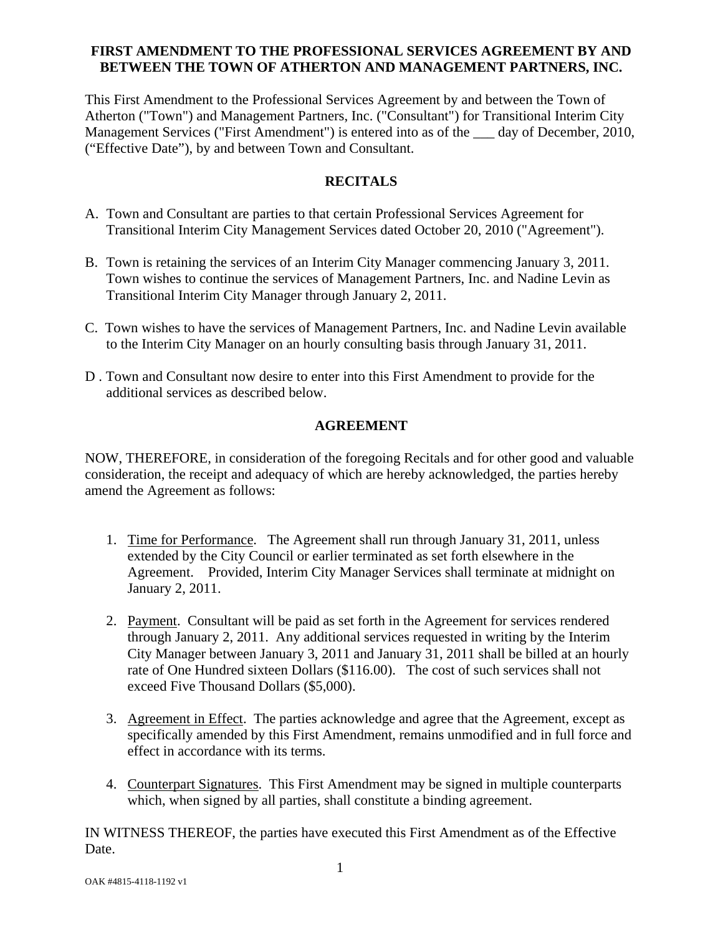### **FIRST AMENDMENT TO THE PROFESSIONAL SERVICES AGREEMENT BY AND BETWEEN THE TOWN OF ATHERTON AND MANAGEMENT PARTNERS, INC.**

This First Amendment to the Professional Services Agreement by and between the Town of Atherton ("Town") and Management Partners, Inc. ("Consultant") for Transitional Interim City Management Services ("First Amendment") is entered into as of the  $\_\_\_$  day of December, 2010, ("Effective Date"), by and between Town and Consultant.

### **RECITALS**

- A. Town and Consultant are parties to that certain Professional Services Agreement for Transitional Interim City Management Services dated October 20, 2010 ("Agreement").
- B. Town is retaining the services of an Interim City Manager commencing January 3, 2011. Town wishes to continue the services of Management Partners, Inc. and Nadine Levin as Transitional Interim City Manager through January 2, 2011.
- C. Town wishes to have the services of Management Partners, Inc. and Nadine Levin available to the Interim City Manager on an hourly consulting basis through January 31, 2011.
- D . Town and Consultant now desire to enter into this First Amendment to provide for the additional services as described below.

### **AGREEMENT**

NOW, THEREFORE, in consideration of the foregoing Recitals and for other good and valuable consideration, the receipt and adequacy of which are hereby acknowledged, the parties hereby amend the Agreement as follows:

- 1. Time for Performance. The Agreement shall run through January 31, 2011, unless extended by the City Council or earlier terminated as set forth elsewhere in the Agreement. Provided, Interim City Manager Services shall terminate at midnight on January 2, 2011.
- 2. Payment. Consultant will be paid as set forth in the Agreement for services rendered through January 2, 2011. Any additional services requested in writing by the Interim City Manager between January 3, 2011 and January 31, 2011 shall be billed at an hourly rate of One Hundred sixteen Dollars (\$116.00). The cost of such services shall not exceed Five Thousand Dollars (\$5,000).
- 3. Agreement in Effect. The parties acknowledge and agree that the Agreement, except as specifically amended by this First Amendment, remains unmodified and in full force and effect in accordance with its terms.
- 4. Counterpart Signatures. This First Amendment may be signed in multiple counterparts which, when signed by all parties, shall constitute a binding agreement.

IN WITNESS THEREOF, the parties have executed this First Amendment as of the Effective Date.